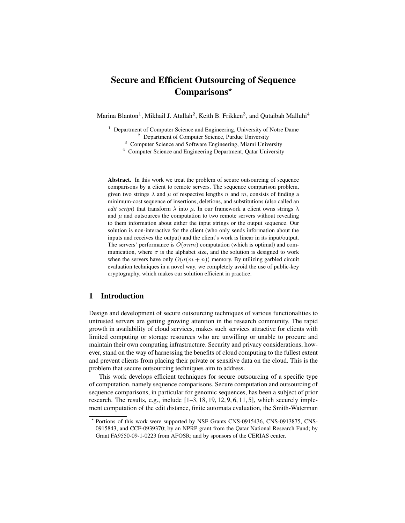# Secure and Efficient Outsourcing of Sequence Comparisons?

Marina Blanton<sup>1</sup>, Mikhail J. Atallah<sup>2</sup>, Keith B. Frikken<sup>3</sup>, and Qutaibah Malluhi<sup>4</sup>

- <sup>1</sup> Department of Computer Science and Engineering, University of Notre Dame <sup>2</sup> Department of Computer Science, Purdue University
	- <sup>3</sup> Computer Science and Software Engineering, Miami University
	- <sup>4</sup> Computer Science and Engineering Department, Qatar University

Abstract. In this work we treat the problem of secure outsourcing of sequence comparisons by a client to remote servers. The sequence comparison problem, given two strings  $\lambda$  and  $\mu$  of respective lengths n and m, consists of finding a minimum-cost sequence of insertions, deletions, and substitutions (also called an *edit script*) that transform  $\lambda$  into  $\mu$ . In our framework a client owns strings  $\lambda$ and  $\mu$  and outsources the computation to two remote servers without revealing to them information about either the input strings or the output sequence. Our solution is non-interactive for the client (who only sends information about the inputs and receives the output) and the client's work is linear in its input/output. The servers' performance is  $O(\sigma mn)$  computation (which is optimal) and communication, where  $\sigma$  is the alphabet size, and the solution is designed to work when the servers have only  $O(\sigma(m + n))$  memory. By utilizing garbled circuit evaluation techniques in a novel way, we completely avoid the use of public-key cryptography, which makes our solution efficient in practice.

## 1 Introduction

Design and development of secure outsourcing techniques of various functionalities to untrusted servers are getting growing attention in the research community. The rapid growth in availability of cloud services, makes such services attractive for clients with limited computing or storage resources who are unwilling or unable to procure and maintain their own computing infrastructure. Security and privacy considerations, however, stand on the way of harnessing the benefits of cloud computing to the fullest extent and prevent clients from placing their private or sensitive data on the cloud. This is the problem that secure outsourcing techniques aim to address.

This work develops efficient techniques for secure outsourcing of a specific type of computation, namely sequence comparisons. Secure computation and outsourcing of sequence comparisons, in particular for genomic sequences, has been a subject of prior research. The results, e.g., include [1–3, 18, 19, 12, 9, 6, 11, 5], which securely implement computation of the edit distance, finite automata evaluation, the Smith-Waterman

<sup>?</sup> Portions of this work were supported by NSF Grants CNS-0915436, CNS-0913875, CNS-0915843, and CCF-0939370; by an NPRP grant from the Qatar National Research Fund; by Grant FA9550-09-1-0223 from AFOSR; and by sponsors of the CERIAS center.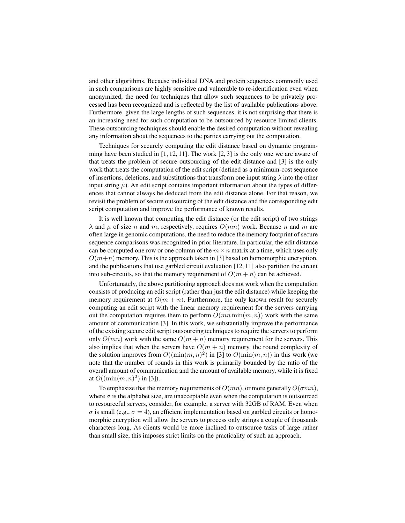and other algorithms. Because individual DNA and protein sequences commonly used in such comparisons are highly sensitive and vulnerable to re-identification even when anonymized, the need for techniques that allow such sequences to be privately processed has been recognized and is reflected by the list of available publications above. Furthermore, given the large lengths of such sequences, it is not surprising that there is an increasing need for such computation to be outsourced by resource limited clients. These outsourcing techniques should enable the desired computation without revealing any information about the sequences to the parties carrying out the computation.

Techniques for securely computing the edit distance based on dynamic programming have been studied in  $[1, 12, 11]$ . The work  $[2, 3]$  is the only one we are aware of that treats the problem of secure outsourcing of the edit distance and [3] is the only work that treats the computation of the edit script (defined as a minimum-cost sequence of insertions, deletions, and substitutions that transform one input string  $\lambda$  into the other input string  $\mu$ ). An edit script contains important information about the types of differences that cannot always be deduced from the edit distance alone. For that reason, we revisit the problem of secure outsourcing of the edit distance and the corresponding edit script computation and improve the performance of known results.

It is well known that computing the edit distance (or the edit script) of two strings  $\lambda$  and  $\mu$  of size n and m, respectively, requires  $O(mn)$  work. Because n and m are often large in genomic computations, the need to reduce the memory footprint of secure sequence comparisons was recognized in prior literature. In particular, the edit distance can be computed one row or one column of the  $m \times n$  matrix at a time, which uses only  $O(m+n)$  memory. This is the approach taken in [3] based on homomorphic encryption, and the publications that use garbled circuit evaluation [12, 11] also partition the circuit into sub-circuits, so that the memory requirement of  $O(m + n)$  can be achieved.

Unfortunately, the above partitioning approach does not work when the computation consists of producing an edit script (rather than just the edit distance) while keeping the memory requirement at  $O(m + n)$ . Furthermore, the only known result for securely computing an edit script with the linear memory requirement for the servers carrying out the computation requires them to perform  $O(mn \min(m, n))$  work with the same amount of communication [3]. In this work, we substantially improve the performance of the existing secure edit script outsourcing techniques to require the servers to perform only  $O(mn)$  work with the same  $O(m + n)$  memory requirement for the servers. This also implies that when the servers have  $O(m + n)$  memory, the round complexity of the solution improves from  $O((\min(m, n)^2))$  in [3] to  $O(\min(m, n))$  in this work (we note that the number of rounds in this work is primarily bounded by the ratio of the overall amount of communication and the amount of available memory, while it is fixed at  $O((\min(m, n)^2)$  in [3]).

To emphasize that the memory requirements of  $O(mn)$ , or more generally  $O(\sigma mn)$ , where  $\sigma$  is the alphabet size, are unacceptable even when the computation is outsourced to resourceful servers, consider, for example, a server with 32GB of RAM. Even when  $\sigma$  is small (e.g.,  $\sigma = 4$ ), an efficient implementation based on garbled circuits or homomorphic encryption will allow the servers to process only strings a couple of thousands characters long. As clients would be more inclined to outsource tasks of large rather than small size, this imposes strict limits on the practicality of such an approach.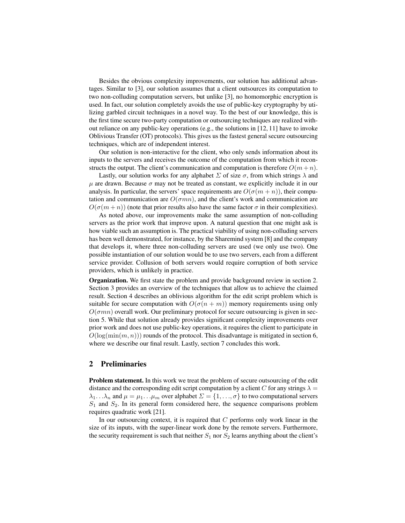Besides the obvious complexity improvements, our solution has additional advantages. Similar to [3], our solution assumes that a client outsources its computation to two non-colluding computation servers, but unlike [3], no homomorphic encryption is used. In fact, our solution completely avoids the use of public-key cryptography by utilizing garbled circuit techniques in a novel way. To the best of our knowledge, this is the first time secure two-party computation or outsourcing techniques are realized without reliance on any public-key operations (e.g., the solutions in  $[12, 11]$  have to invoke Oblivious Transfer (OT) protocols). This gives us the fastest general secure outsourcing techniques, which are of independent interest.

Our solution is non-interactive for the client, who only sends information about its inputs to the servers and receives the outcome of the computation from which it reconstructs the output. The client's communication and computation is therefore  $O(m + n)$ .

Lastly, our solution works for any alphabet  $\Sigma$  of size  $\sigma$ , from which strings  $\lambda$  and  $\mu$  are drawn. Because  $\sigma$  may not be treated as constant, we explicitly include it in our analysis. In particular, the servers' space requirements are  $O(\sigma(m + n))$ , their computation and communication are  $O(\sigma mn)$ , and the client's work and communication are  $O(\sigma(m+n))$  (note that prior results also have the same factor  $\sigma$  in their complexities).

As noted above, our improvements make the same assumption of non-colluding servers as the prior work that improve upon. A natural question that one might ask is how viable such an assumption is. The practical viability of using non-colluding servers has been well demonstrated, for instance, by the Sharemind system [8] and the company that develops it, where three non-colluding servers are used (we only use two). One possible instantiation of our solution would be to use two servers, each from a different service provider. Collusion of both servers would require corruption of both service providers, which is unlikely in practice.

Organization. We first state the problem and provide background review in section 2. Section 3 provides an overview of the techniques that allow us to achieve the claimed result. Section 4 describes an oblivious algorithm for the edit script problem which is suitable for secure computation with  $O(\sigma(n + m))$  memory requirements using only  $O(\sigma mn)$  overall work. Our preliminary protocol for secure outsourcing is given in section 5. While that solution already provides significant complexity improvements over prior work and does not use public-key operations, it requires the client to participate in  $O(\log(\min(m, n)))$  rounds of the protocol. This disadvantage is mitigated in section 6, where we describe our final result. Lastly, section 7 concludes this work.

### 2 Preliminaries

Problem statement. In this work we treat the problem of secure outsourcing of the edit distance and the corresponding edit script computation by a client C for any strings  $\lambda =$  $\lambda_1 \dots \lambda_n$  and  $\mu = \mu_1 \dots \mu_m$  over alphabet  $\Sigma = \{1, \dots, \sigma\}$  to two computational servers  $S_1$  and  $S_2$ . In its general form considered here, the sequence comparisons problem requires quadratic work [21].

In our outsourcing context, it is required that  $C$  performs only work linear in the size of its inputs, with the super-linear work done by the remote servers. Furthermore, the security requirement is such that neither  $S_1$  nor  $S_2$  learns anything about the client's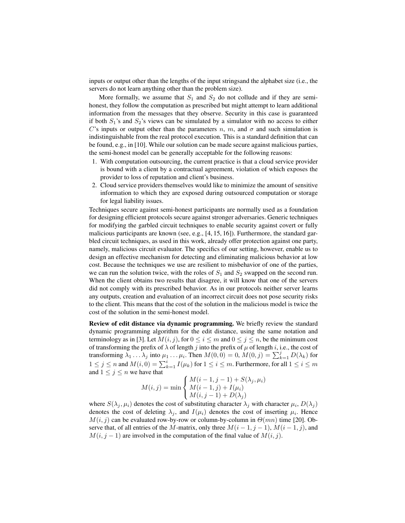inputs or output other than the lengths of the input stringsand the alphabet size (i.e., the servers do not learn anything other than the problem size).

More formally, we assume that  $S_1$  and  $S_2$  do not collude and if they are semihonest, they follow the computation as prescribed but might attempt to learn additional information from the messages that they observe. Security in this case is guaranteed if both  $S_1$ 's and  $S_2$ 's views can be simulated by a simulator with no access to either C's inputs or output other than the parameters n, m, and  $\sigma$  and such simulation is indistinguishable from the real protocol execution. This is a standard definition that can be found, e.g., in [10]. While our solution can be made secure against malicious parties, the semi-honest model can be generally acceptable for the following reasons:

- 1. With computation outsourcing, the current practice is that a cloud service provider is bound with a client by a contractual agreement, violation of which exposes the provider to loss of reputation and client's business.
- 2. Cloud service providers themselves would like to minimize the amount of sensitive information to which they are exposed during outsourced computation or storage for legal liability issues.

Techniques secure against semi-honest participants are normally used as a foundation for designing efficient protocols secure against stronger adversaries. Generic techniques for modifying the garbled circuit techniques to enable security against covert or fully malicious participants are known (see, e.g.,  $[4, 15, 16]$ ). Furthermore, the standard garbled circuit techniques, as used in this work, already offer protection against one party, namely, malicious circuit evaluator. The specifics of our setting, however, enable us to design an effective mechanism for detecting and eliminating malicious behavior at low cost. Because the techniques we use are resilient to misbehavior of one of the parties, we can run the solution twice, with the roles of  $S_1$  and  $S_2$  swapped on the second run. When the client obtains two results that disagree, it will know that one of the servers did not comply with its prescribed behavior. As in our protocols neither server learns any outputs, creation and evaluation of an incorrect circuit does not pose security risks to the client. This means that the cost of the solution in the malicious model is twice the cost of the solution in the semi-honest model.

Review of edit distance via dynamic programming. We briefly review the standard dynamic programming algorithm for the edit distance, using the same notation and terminology as in [3]. Let  $M(i, j)$ , for  $0 \le i \le m$  and  $0 \le j \le n$ , be the minimum cost of transforming the prefix of  $\lambda$  of length j into the prefix of  $\mu$  of length i, i.e., the cost of transforming  $\lambda_1 \dots \lambda_j$  into  $\mu_1 \dots \mu_i$ . Then  $M(0, 0) = 0$ ,  $M(0, j) = \sum_{k=1}^j D(\lambda_k)$  for  $1\leq j\leq n$  and  $M(i,0)=\sum_{k=1}^i I(\mu_k)$  for  $1\leq i\leq m$ . Furthermore, for all  $1\leq i\leq m$ and  $1 \leq j \leq n$  we have that

$$
M(i,j) = \min \begin{cases} M(i-1,j-1) + S(\lambda_j, \mu_i) \\ M(i-1,j) + I(\mu_i) \\ M(i,j-1) + D(\lambda_j) \end{cases}
$$

where  $S(\lambda_j, \mu_i)$  denotes the cost of substituting character  $\lambda_j$  with character  $\mu_i$ ,  $D(\lambda_j)$ denotes the cost of deleting  $\lambda_j$ , and  $I(\mu_i)$  denotes the cost of inserting  $\mu_i$ . Hence  $M(i, j)$  can be evaluated row-by-row or column-by-column in  $\Theta(mn)$  time [20]. Observe that, of all entries of the M-matrix, only three  $M(i-1, j-1)$ ,  $M(i-1, j)$ , and  $M(i, j - 1)$  are involved in the computation of the final value of  $M(i, j)$ .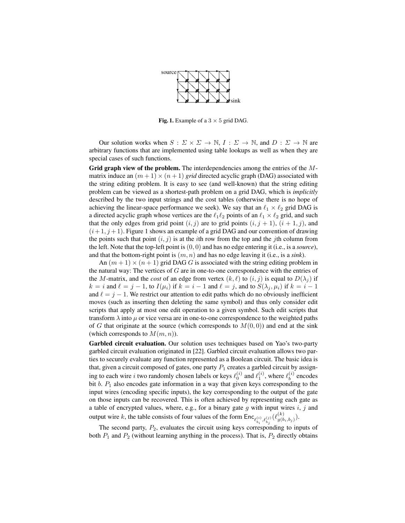

**Fig. 1.** Example of a  $3 \times 5$  grid DAG.

Our solution works when  $S: \Sigma \times \Sigma \to \mathbb{N}, I: \Sigma \to \mathbb{N}$ , and  $D: \Sigma \to \mathbb{N}$  are arbitrary functions that are implemented using table lookups as well as when they are special cases of such functions.

Grid graph view of the problem. The interdependencies among the entries of the  $M$ matrix induce an  $(m+1) \times (n+1)$  *grid* directed acyclic graph (DAG) associated with the string editing problem. It is easy to see (and well-known) that the string editing problem can be viewed as a shortest-path problem on a grid DAG, which is *implicitly* described by the two input strings and the cost tables (otherwise there is no hope of achieving the linear-space performance we seek). We say that an  $\ell_1 \times \ell_2$  grid DAG is a directed acyclic graph whose vertices are the  $\ell_1\ell_2$  points of an  $\ell_1 \times \ell_2$  grid, and such that the only edges from grid point  $(i, j)$  are to grid points  $(i, j + 1)$ ,  $(i + 1, j)$ , and  $(i+1, j+1)$ . Figure 1 shows an example of a grid DAG and our convention of drawing the points such that point  $(i, j)$  is at the *i*th row from the top and the *j*th column from the left. Note that the top-left point is (0, 0) and has no edge entering it (i.e., is a *source*), and that the bottom-right point is  $(m, n)$  and has no edge leaving it (i.e., is a *sink*).

An  $(m + 1) \times (n + 1)$  grid DAG G is associated with the string editing problem in the natural way: The vertices of  $G$  are in one-to-one correspondence with the entries of the M-matrix, and the *cost* of an edge from vertex  $(k, \ell)$  to  $(i, j)$  is equal to  $D(\lambda_j)$  if  $k = i$  and  $\ell = j - 1$ , to  $I(\mu_i)$  if  $k = i - 1$  and  $\ell = j$ , and to  $S(\lambda_j, \mu_i)$  if  $k = i - 1$ and  $\ell = j - 1$ . We restrict our attention to edit paths which do no obviously inefficient moves (such as inserting then deleting the same symbol) and thus only consider edit scripts that apply at most one edit operation to a given symbol. Such edit scripts that transform  $\lambda$  into  $\mu$  or vice versa are in one-to-one correspondence to the weighted paths of G that originate at the source (which corresponds to  $M(0, 0)$ ) and end at the sink (which corresponds to  $M(m, n)$ ).

Garbled circuit evaluation. Our solution uses techniques based on Yao's two-party garbled circuit evaluation originated in [22]. Garbled circuit evaluation allows two parties to securely evaluate any function represented as a Boolean circuit. The basic idea is that, given a circuit composed of gates, one party  $P_1$  creates a garbled circuit by assigning to each wire i two randomly chosen labels or keys  $\ell_0^{(i)}$  and  $\ell_1^{(i)}$ , where  $\ell_b^{(i)}$  $b^{(i)}$  encodes bit  $b$ .  $P_1$  also encodes gate information in a way that given keys corresponding to the input wires (encoding specific inputs), the key corresponding to the output of the gate on those inputs can be recovered. This is often achieved by representing each gate as a table of encrypted values, where, e.g., for a binary gate  $g$  with input wires  $i, j$  and output wire k, the table consists of four values of the form  $\text{Enc}_{\ell_{b_i}^{(i)}, \ell_{b_j}^{(j)}}(\ell_{g(b)}^{(k)})$  $\binom{\kappa}{g(b_i,b_j)}$ .

The second party,  $P_2$ , evaluates the circuit using keys corresponding to inputs of both  $P_1$  and  $P_2$  (without learning anything in the process). That is,  $P_2$  directly obtains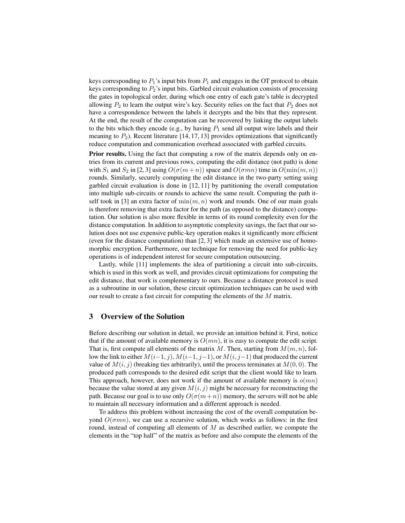keys corresponding to  $P_1$ 's input bits from  $P_1$  and engages in the OT protocol to obtain keys corresponding to  $P_2$ 's input bits. Garbled circuit evaluation consists of processing the gates in topological order, during which one entry of each gate's table is decrypted allowing  $P_2$  to learn the output wire's key. Security relies on the fact that  $P_2$  does not have a correspondence between the labels it decrypts and the bits that they represent. At the end, the result of the computation can be recovered by linking the output labels to the bits which they encode (e.g., by having  $P_1$  send all output wire labels and their meaning to  $P_2$ ). Recent literature [14, 17, 13] provides optimizations that significantly reduce computation and communication overhead associated with garbled circuits.

Prior results. Using the fact that computing a row of the matrix depends only on entries from its current and previous rows, computing the edit distance (not path) is done with  $S_1$  and  $S_2$  in [2, 3] using  $O(\sigma(m+n))$  space and  $O(\sigma mn)$  time in  $O(\min(m, n))$ rounds. Similarly, securely computing the edit distance in the two-party setting using garbled circuit evaluation is done in [12, 11] by partitioning the overall computation into multiple sub-circuits or rounds to achieve the same result. Computing the path itself took in [3] an extra factor of  $\min(m, n)$  work and rounds. One of our main goals is therefore removing that extra factor for the path (as opposed to the distance) computation. Our solution is also more flexible in terms of its round complexity even for the distance computation. In addition to asymptotic complexity savings, the fact that our solution does not use expensive public-key operation makes it significantly more efficient (even for the distance computation) than [2, 3] which made an extensive use of homomorphic encryption. Furthermore, our technique for removing the need for public-key operations is of independent interest for secure computation outsourcing.

Lastly, while [11] implements the idea of partitioning a circuit into sub-circuits, which is used in this work as well, and provides circuit optimizations for computing the edit distance, that work is complementary to ours. Because a distance protocol is used as a subroutine in our solution, these circuit optimization techniques can be used with our result to create a fast circuit for computing the elements of the M matrix.

## 3 Overview of the Solution

Before describing our solution in detail, we provide an intuition behind it. First, notice that if the amount of available memory is  $O(mn)$ , it is easy to compute the edit script. That is, first compute all elements of the matrix M. Then, starting from  $M(m, n)$ , follow the link to either  $M(i-1, j)$ ,  $M(i-1, j-1)$ , or  $M(i, j-1)$  that produced the current value of  $M(i, j)$  (breaking ties arbitrarily), until the process terminates at  $M(0, 0)$ . The produced path corresponds to the desired edit script that the client would like to learn. This approach, however, does not work if the amount of available memory is  $o(mn)$ because the value stored at any given  $M(i, j)$  might be necessary for reconstructing the path. Because our goal is to use only  $O(\sigma(m+n))$  memory, the servers will not be able to maintain all necessary information and a different approach is needed.

To address this problem without increasing the cost of the overall computation beyond  $O(\sigma mn)$ , we can use a recursive solution, which works as follows: in the first round, instead of computing all elements of  $M$  as described earlier, we compute the elements in the "top half" of the matrix as before and also compute the elements of the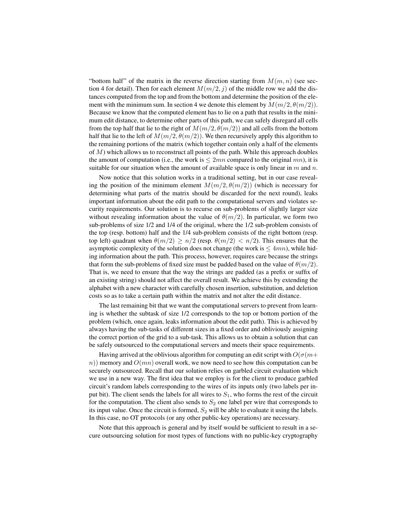"bottom half" of the matrix in the reverse direction starting from  $M(m, n)$  (see section 4 for detail). Then for each element  $M(m/2, j)$  of the middle row we add the distances computed from the top and from the bottom and determine the position of the element with the minimum sum. In section 4 we denote this element by  $M(m/2, \theta(m/2))$ . Because we know that the computed element has to lie on a path that results in the minimum edit distance, to determine other parts of this path, we can safely disregard all cells from the top half that lie to the right of  $M(m/2, \theta(m/2))$  and all cells from the bottom half that lie to the left of  $M(m/2, \theta(m/2))$ . We then recursively apply this algorithm to the remaining portions of the matrix (which together contain only a half of the elements of  $M$ ) which allows us to reconstruct all points of the path. While this approach doubles the amount of computation (i.e., the work is  $\leq 2mn$  compared to the original mn), it is suitable for our situation when the amount of available space is only linear in  $m$  and  $n$ .

Now notice that this solution works in a traditional setting, but in our case revealing the position of the minimum element  $M(m/2, \theta(m/2))$  (which is necessary for determining what parts of the matrix should be discarded for the next round), leaks important information about the edit path to the computational servers and violates security requirements. Our solution is to recurse on sub-problems of slightly larger size without revealing information about the value of  $\theta(m/2)$ . In particular, we form two sub-problems of size 1/2 and 1/4 of the original, where the 1/2 sub-problem consists of the top (resp. bottom) half and the 1/4 sub-problem consists of the right bottom (resp. top left) quadrant when  $\theta(m/2) \geq n/2$  (resp.  $\theta(m/2) < n/2$ ). This ensures that the asymptotic complexity of the solution does not change (the work is  $\leq 4mn$ ), while hiding information about the path. This process, however, requires care because the strings that form the sub-problems of fixed size must be padded based on the value of  $\theta(m/2)$ . That is, we need to ensure that the way the strings are padded (as a prefix or suffix of an existing string) should not affect the overall result. We achieve this by extending the alphabet with a new character with carefully chosen insertion, substitution, and deletion costs so as to take a certain path within the matrix and not alter the edit distance.

The last remaining bit that we want the computational servers to prevent from learning is whether the subtask of size 1/2 corresponds to the top or bottom portion of the problem (which, once again, leaks information about the edit path). This is achieved by always having the sub-tasks of different sizes in a fixed order and obliviously assigning the correct portion of the grid to a sub-task. This allows us to obtain a solution that can be safely outsourced to the computational servers and meets their space requirements.

Having arrived at the oblivious algorithm for computing an edit script with  $O(\sigma(m+1))$  $n)$ ) memory and  $O(mn)$  overall work, we now need to see how this computation can be securely outsourced. Recall that our solution relies on garbled circuit evaluation which we use in a new way. The first idea that we employ is for the client to produce garbled circuit's random labels corresponding to the wires of its inputs only (two labels per input bit). The client sends the labels for all wires to  $S_1$ , who forms the rest of the circuit for the computation. The client also sends to  $S_2$  one label per wire that corresponds to its input value. Once the circuit is formed,  $S_2$  will be able to evaluate it using the labels. In this case, no OT protocols (or any other public-key operations) are necessary.

Note that this approach is general and by itself would be sufficient to result in a secure outsourcing solution for most types of functions with no public-key cryptography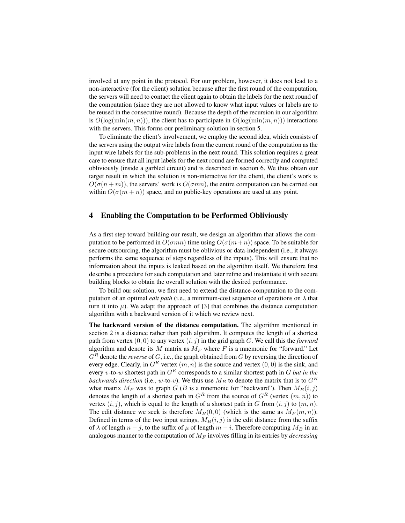involved at any point in the protocol. For our problem, however, it does not lead to a non-interactive (for the client) solution because after the first round of the computation, the servers will need to contact the client again to obtain the labels for the next round of the computation (since they are not allowed to know what input values or labels are to be reused in the consecutive round). Because the depth of the recursion in our algorithm is  $O(log(min(m, n)))$ , the client has to participate in  $O(log(min(m, n)))$  interactions with the servers. This forms our preliminary solution in section 5.

To eliminate the client's involvement, we employ the second idea, which consists of the servers using the output wire labels from the current round of the computation as the input wire labels for the sub-problems in the next round. This solution requires a great care to ensure that all input labels for the next round are formed correctly and computed obliviously (inside a garbled circuit) and is described in section 6. We thus obtain our target result in which the solution is non-interactive for the client, the client's work is  $O(\sigma(n+m))$ , the servers' work is  $O(\sigma mn)$ , the entire computation can be carried out within  $O(\sigma(m+n))$  space, and no public-key operations are used at any point.

## 4 Enabling the Computation to be Performed Obliviously

As a first step toward building our result, we design an algorithm that allows the computation to be performed in  $O(\sigma mn)$  time using  $O(\sigma(m+n))$  space. To be suitable for secure outsourcing, the algorithm must be oblivious or data-independent (i.e., it always performs the same sequence of steps regardless of the inputs). This will ensure that no information about the inputs is leaked based on the algorithm itself. We therefore first describe a procedure for such computation and later refine and instantiate it with secure building blocks to obtain the overall solution with the desired performance.

To build our solution, we first need to extend the distance-computation to the computation of an optimal *edit path* (i.e., a minimum-cost sequence of operations on  $\lambda$  that turn it into  $\mu$ ). We adapt the approach of [3] that combines the distance computation algorithm with a backward version of it which we review next.

The backward version of the distance computation. The algorithm mentioned in section 2 is a distance rather than path algorithm. It computes the length of a shortest path from vertex  $(0, 0)$  to any vertex  $(i, j)$  in the grid graph G. We call this the *forward* algorithm and denote its  $M$  matrix as  $M_F$  where  $F$  is a mnemonic for "forward." Let  $G^R$  denote the *reverse* of G, i.e., the graph obtained from G by reversing the direction of every edge. Clearly, in  $G^R$  vertex  $(m, n)$  is the source and vertex  $(0, 0)$  is the sink, and every v-to-w shortest path in  $G<sup>R</sup>$  corresponds to a similar shortest path in G *but in the backwards direction* (i.e., w-to-v). We thus use  $M_B$  to denote the matrix that is to  $G^R$ what matrix  $M_F$  was to graph G (B is a mnemonic for "backward"). Then  $M_B(i, j)$ denotes the length of a shortest path in  $G<sup>R</sup>$  from the source of  $G<sup>R</sup>$  (vertex  $(m, n)$ ) to vertex  $(i, j)$ , which is equal to the length of a shortest path in G from  $(i, j)$  to  $(m, n)$ . The edit distance we seek is therefore  $M_B(0,0)$  (which is the same as  $M_F(m,n)$ ). Defined in terms of the two input strings,  $M_B(i, j)$  is the edit distance from the suffix of  $\lambda$  of length  $n - j$ , to the suffix of  $\mu$  of length  $m - i$ . Therefore computing  $M_B$  in an analogous manner to the computation of  $M_F$  involves filling in its entries by *decreasing*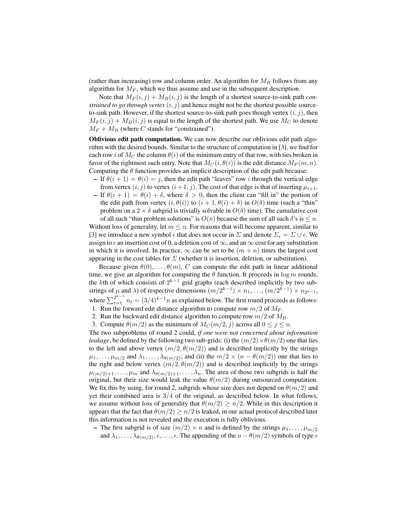(rather than increasing) row and column order. An algorithm for  $M_B$  follows from any algorithm for  $M_F$ , which we thus assume and use in the subsequent description.

Note that  $M_F(i, j) + M_B(i, j)$  is the length of a shortest source-to-sink path *constrained to go through vertex*  $(i, j)$  and hence might not be the shortest possible sourceto-sink path. However, if the shortest source-to-sink path goes though vertex  $(i, j)$ , then  $M_F(i, j) + M_B(i, j)$  is equal to the length of the shortest path. We use  $M_C$  to denote  $M_F + M_B$  (where C stands for "constrained").

Oblivious edit path computation. We can now describe our oblivious edit path algorithm with the desired bounds. Similar to the structure of computation in [3], we find for each row i of  $M_C$  the column  $\theta(i)$  of the minimum entry of that row, with ties broken in favor of the rightmost such entry. Note that  $M_C(i, \theta(i))$  is the edit distance  $M_F(m, n)$ . Computing the  $\theta$  function provides an implicit description of the edit path because:

- If  $\theta(i+1) = \theta(i) = i$ , then the edit path "leaves" row i through the vertical edge from vertex  $(i, j)$  to vertex  $(i + 1, j)$ . The cost of that edge is that of inserting  $\mu_{i+1}$ .
- If  $\theta(i + 1) = \theta(i) + \delta$ , where  $\delta > 0$ , then the client can "fill in" the portion of the edit path from vertex  $(i, \theta(i))$  to  $(i + 1, \theta(i) + \delta)$  in  $O(\delta)$  time (such a "thin" problem on a 2  $\times$  δ subgrid is trivially solvable in  $O(\delta)$  time). The cumulative cost of all such "thin problem solutions" is  $O(n)$  because the sum of all such  $\delta$ 's is  $\leq n$ .

Without loss of generality, let  $m \leq n$ . For reasons that will become apparent, similar to [3] we introduce a new symbol  $\epsilon$  that does not occur in  $\Sigma$  and denote  $\Sigma_{\epsilon} = \Sigma \cup \epsilon$ . We assign to  $\epsilon$  an insertion cost of 0, a deletion cost of  $\infty$ , and an  $\infty$  cost for any substitution in which it is involved. In practice,  $\infty$  can be set to be  $(m + n)$  times the largest cost appearing in the cost tables for  $\Sigma$  (whether it is insertion, deletion, or substitution).

Because given  $\theta(0), \ldots, \theta(m), C$  can compute the edit path in linear additional time, we give an algorithm for computing the  $\theta$  function. It proceeds in  $\log m$  rounds, the kth of which consists of  $2^{k-1}$  grid graphs (each described implicitly by two substrings of  $\mu$  and  $\lambda$ ) of respective dimensions  $(m/2^{k-1}) \times n_1, ..., (m/2^{k-1}) \times n_{2^{k-1}},$ where  $\sum_{t=1}^{2^{k-1}} n_t = (3/4)^{k-1} n$  as explained below. The first round proceeds as follows: 1. Run the forward edit distance algorithm to compute row  $m/2$  of  $M_F$ .

- 
- 2. Run the backward edit distance algorithm to compute row  $m/2$  of  $M_B$ . 3. Compute  $\theta(m/2)$  as the minimum of  $M_C(m/2, j)$  across all  $0 \le j \le n$ .

The two subproblems of round 2 could, *if one were not concerned about information leakage*, be defined by the following two sub-grids: (i) the  $(m/2) \times \theta(m/2)$  one that lies to the left and above vertex  $(m/2, \theta(m/2))$  and is described implicitly by the strings  $\mu_1, \ldots, \mu_{m/2}$  and  $\lambda_1, \ldots, \lambda_{\theta(m/2)}$ ; and (ii) the  $m/2 \times (n - \theta(m/2))$  one that lies to the right and below vertex  $(m/2, \theta(m/2))$  and is described implicitly by the strings  $\mu_{(m/2)+1}, \ldots, \mu_m$  and  $\lambda_{\theta(m/2)+1}, \ldots, \lambda_n$ . The area of those two subgrids is half the original, but their size would leak the value  $\theta(m/2)$  during outsourced computation. We fix this by using, for round 2, subgrids whose size does not depend on  $\theta(m/2)$  and yet their combined area is 3/4 of the original, as described below. In what follows, we assume without loss of generality that  $\theta(m/2) \geq n/2$ . While in this description it appears that the fact that  $\theta(m/2) > n/2$  is leaked, in our actual protocol described later this information is not revealed and the execution is fully oblivious.

– The first subgrid is of size  $(m/2) \times n$  and is defined by the strings  $\mu_1, \ldots, \mu_{m/2}$ and  $\lambda_1, \ldots, \lambda_{\theta(m/2)}, \epsilon, \ldots, \epsilon$ . The appending of the  $n - \theta(m/2)$  symbols of type  $\epsilon$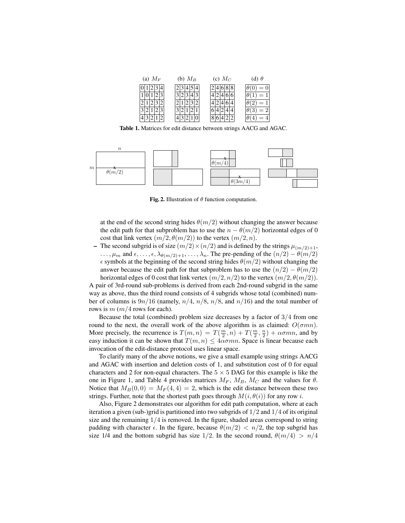| (a) $M_F$ | (b) $M_B$ | (c) $M_C$ | (d) $\theta$ |
|-----------|-----------|-----------|--------------|
| 4         | 14        |           | $= 0$        |
|           | 3         |           | $=1$         |
|           |           |           | $=1$         |
| っ         |           |           | $=2$         |
|           |           | $\circ$   | ᆖ            |

Table 1. Matrices for edit distance between strings AACG and AGAC.



Fig. 2. Illustration of  $\theta$  function computation.

at the end of the second string hides  $\theta(m/2)$  without changing the answer because the edit path for that subproblem has to use the  $n - \theta(m/2)$  horizontal edges of 0 cost that link vertex  $(m/2, \theta(m/2))$  to the vertex  $(m/2, n)$ .

– The second subgrid is of size  $(m/2) \times (n/2)$  and is defined by the strings  $\mu_{(m/2)+1}$ , ...,  $\mu_m$  and  $\epsilon, \ldots, \epsilon, \lambda_{\theta(m/2)+1}, \ldots, \lambda_n$ . The pre-pending of the  $(n/2) - \theta(m/2)$  $\epsilon$  symbols at the beginning of the second string hides  $\theta(m/2)$  without changing the answer because the edit path for that subproblem has to use the  $(n/2) - \theta(m/2)$ horizontal edges of 0 cost that link vertex  $(m/2, n/2)$  to the vertex  $(m/2, \theta(m/2))$ .

A pair of 3rd-round sub-problems is derived from each 2nd-round subgrid in the same way as above, thus the third round consists of 4 subgrids whose total (combined) number of columns is  $9n/16$  (namely,  $n/4$ ,  $n/8$ ,  $n/8$ , and  $n/16$ ) and the total number of rows is  $m$  ( $m/4$  rows for each).

Because the total (combined) problem size decreases by a factor of  $3/4$  from one round to the next, the overall work of the above algorithm is as claimed:  $O(\sigma mn)$ . More precisely, the recurrence is  $T(m, n) = T(\frac{m}{2}, n) + T(\frac{m}{2}, \frac{n}{2}) + \alpha \sigma mn$ , and by easy induction it can be shown that  $T(m, n) \leq 4\alpha \sigma mn$ . Space is linear because each invocation of the edit-distance protocol uses linear space.

To clarify many of the above notions, we give a small example using strings AACG and AGAC with insertion and deletion costs of 1, and substitution cost of 0 for equal characters and 2 for non-equal characters. The  $5 \times 5$  DAG for this example is like the one in Figure 1, and Table 4 provides matrices  $M_F$ ,  $M_B$ ,  $M_C$  and the values for  $\theta$ . Notice that  $M_B(0, 0) = M_F(4, 4) = 2$ , which is the edit distance between these two strings. Further, note that the shortest path goes through  $M(i, \theta(i))$  for any row i.

Also, Figure 2 demonstrates our algorithm for edit path computation, where at each iteration a given (sub-)grid is partitioned into two subgrids of  $1/2$  and  $1/4$  of its original size and the remaining  $1/4$  is removed. In the figure, shaded areas correspond to string padding with character  $\epsilon$ . In the figure, because  $\theta(m/2) < n/2$ , the top subgrid has size 1/4 and the bottom subgrid has size 1/2. In the second round,  $\theta(m/4) > n/4$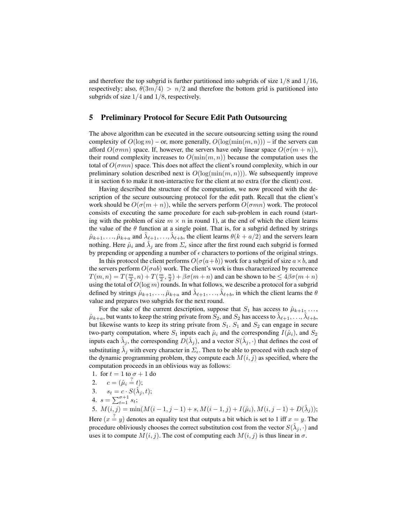and therefore the top subgrid is further partitioned into subgrids of size  $1/8$  and  $1/16$ , respectively; also,  $\theta(3m/4) > n/2$  and therefore the bottom grid is partitioned into subgrids of size 1/4 and 1/8, respectively.

## 5 Preliminary Protocol for Secure Edit Path Outsourcing

The above algorithm can be executed in the secure outsourcing setting using the round complexity of  $O(\log m)$  – or, more generally,  $O(\log(\min(m, n)))$  – if the servers can afford  $O(\sigma mn)$  space. If, however, the servers have only linear space  $O(\sigma(m + n))$ , their round complexity increases to  $O(\min(m, n))$  because the computation uses the total of  $O(\sigma mn)$  space. This does not affect the client's round complexity, which in our preliminary solution described next is  $O(log(min(m, n)))$ . We subsequently improve it in section 6 to make it non-interactive for the client at no extra (for the client) cost.

Having described the structure of the computation, we now proceed with the description of the secure outsourcing protocol for the edit path. Recall that the client's work should be  $O(\sigma(m+n))$ , while the servers perform  $O(\sigma mn)$  work. The protocol consists of executing the same procedure for each sub-problem in each round (starting with the problem of size  $m \times n$  in round 1), at the end of which the client learns the value of the  $\theta$  function at a single point. That is, for a subgrid defined by strings  $\hat{\mu}_{k+1},...,\hat{\mu}_{k+a}$  and  $\hat{\lambda}_{\ell+1},...,\hat{\lambda}_{\ell+b}$ , the client learns  $\theta(k+a/2)$  and the servers learn nothing. Here  $\hat{\mu}_i$  and  $\hat{\lambda}_j$  are from  $\Sigma_{\epsilon}$  since after the first round each subgrid is formed by prepending or appending a number of  $\epsilon$  characters to portions of the original strings.

In this protocol the client performs  $O(\sigma(a+b))$  work for a subgrid of size  $a \times b$ , and the servers perform  $O(\sigma ab)$  work. The client's work is thus characterized by recurrence  $T(m, n) = T(\frac{m}{2}, n) + T(\frac{m}{2}, \frac{n}{2}) + \beta \sigma(m+n)$  and can be shown to be  $\leq 4\beta\sigma(m+n)$ using the total of  $O(\log m)$  rounds. In what follows, we describe a protocol for a subgrid defined by strings  $\hat{\mu}_{k+1}, \dots, \hat{\mu}_{k+a}$  and  $\hat{\lambda}_{\ell+1}, \dots, \hat{\lambda}_{\ell+b}$ , in which the client learns the  $\theta$ value and prepares two subgrids for the next round.

For the sake of the current description, suppose that  $S_1$  has access to  $\hat{\mu}_{k+1}, \ldots$ ,  $\hat{\mu}_{k+a}$ , but wants to keep the string private from  $\hat{S}_2$ , and  $S_2$  has access to  $\hat{\lambda}_{\ell+1}, \dots, \hat{\lambda}_{\ell+b}$ , but likewise wants to keep its string private from  $S_1$ .  $S_1$  and  $S_2$  can engage in secure two-party computation, where  $S_1$  inputs each  $\hat{\mu}_i$  and the corresponding  $I(\hat{\mu}_i)$ , and  $S_2$ inputs each  $\hat{\lambda}_j$ , the corresponding  $D(\hat{\lambda}_j)$ , and a vector  $S(\hat{\lambda}_j, \cdot)$  that defines the cost of substituting  $\hat{\lambda}_j$  with every character in  $\Sigma_\epsilon$ . Then to be able to proceed with each step of the dynamic programming problem, they compute each  $M(i, j)$  as specified, where the computation proceeds in an oblivious way as follows:

- 1. for  $t = 1$  to  $\sigma + 1$  do
- 2.  $c = (\hat{\mu}_i \stackrel{?}{=} t);$
- 3.  $s_t = c \cdot S(\hat{\lambda}_j, t);$
- 4.  $s = \sum_{t=1}^{\sigma+1} s_t;$

5.  $M(i, j) = \min(M(i - 1, j - 1) + s, M(i - 1, j) + I(\hat{\mu}_i), M(i, j - 1) + D(\hat{\lambda}_j));$ Here  $(x = y)$  denotes an equality test that outputs a bit which is set to 1 iff  $x = y$ . The procedure obliviously chooses the correct substitution cost from the vector  $S(\hat{\lambda}_j, \cdot)$  and

uses it to compute  $M(i, j)$ . The cost of computing each  $M(i, j)$  is thus linear in  $\sigma$ .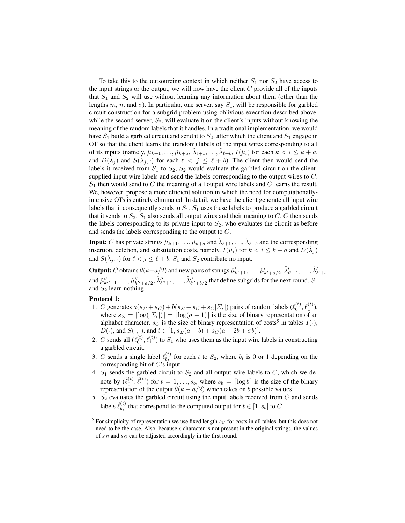To take this to the outsourcing context in which neither  $S_1$  nor  $S_2$  have access to the input strings or the output, we will now have the client  $C$  provide all of the inputs that  $S_1$  and  $S_2$  will use without learning any information about them (other than the lengths m, n, and  $\sigma$ ). In particular, one server, say  $S_1$ , will be responsible for garbled circuit construction for a subgrid problem using oblivious execution described above, while the second server,  $S_2$ , will evaluate it on the client's inputs without knowing the meaning of the random labels that it handles. In a traditional implementation, we would have  $S_1$  build a garbled circuit and send it to  $S_2$ , after which the client and  $S_1$  engage in OT so that the client learns the (random) labels of the input wires corresponding to all of its inputs (namely,  $\hat{\mu}_{k+1},...,\hat{\mu}_{k+a}, \hat{\lambda}_{\ell+1},...,\hat{\lambda}_{\ell+b}, I(\hat{\mu}_i)$  for each  $k < i \leq k+a$ , and  $D(\hat{\lambda}_j)$  and  $S(\hat{\lambda}_j, \cdot)$  for each  $\ell < j \leq \ell + b$ ). The client then would send the labels it received from  $S_1$  to  $S_2$ ,  $S_2$  would evaluate the garbled circuit on the clientsupplied input wire labels and send the labels corresponding to the output wires to C.  $S_1$  then would send to C the meaning of all output wire labels and C learns the result. We, however, propose a more efficient solution in which the need for computationallyintensive OTs is entirely eliminated. In detail, we have the client generate all input wire labels that it consequently sends to  $S_1$ .  $S_1$  uses these labels to produce a garbled circuit that it sends to  $S_2$ .  $S_1$  also sends all output wires and their meaning to C. C then sends the labels corresponding to its private input to  $S_2$ , who evaluates the circuit as before and sends the labels corresponding to the output to C.

**Input:** C has private strings  $\hat{\mu}_{k+1},...,\hat{\mu}_{k+a}$  and  $\hat{\lambda}_{\ell+1},...,\hat{\lambda}_{\ell+b}$  and the corresponding insertion, deletion, and substitution costs, namely,  $I(\hat{\mu}_i)$  for  $k < i \leq k + a$  and  $D(\hat{\lambda}_j)$ and  $S(\hat{\lambda}_j, \cdot)$  for  $\ell < j \leq \ell + b$ .  $S_1$  and  $S_2$  contribute no input.

**Output:** C obtains  $\theta(k+a/2)$  and new pairs of strings  $\hat{\mu}'_{k'+1},\ldots,\hat{\mu}'_{k'+a/2},\hat{\lambda}'_{\ell'+1},\ldots,\hat{\lambda}'_{\ell'+b}$ and  $\hat{\mu}''_{k''+1}, \ldots, \hat{\mu}''_{k''+a/2}, \hat{\lambda}''_{\ell''+1}, \ldots, \hat{\lambda}''_{\ell''+b/2}$  that define subgrids for the next round.  $S_1$ and  $S_2$  learn nothing.

#### Protocol 1:

- 1. C generates  $a(s_{\Sigma} + s_C) + b(s_{\Sigma} + s_C + s_C | \Sigma_{\epsilon} |)$  pairs of random labels  $(\ell_0^{(t)}, \ell_1^{(t)})$ , where  $s_{\Sigma} = \lfloor \log(|\Sigma_{\epsilon}|) \rfloor = \lfloor \log(\sigma + 1) \rfloor$  is the size of binary representation of an alphabet character,  $s_C$  is the size of binary representation of costs<sup>5</sup> in tables  $I(\cdot)$ ,  $D(\cdot)$ , and  $S(\cdot, \cdot)$ , and  $t \in [1, s_{\Sigma}(a+b) + s_{\Sigma}(a+2b+\sigma b)].$
- 2. C sends all  $(\ell_0^{(t)}, \ell_1^{(t)})$  to  $S_1$  who uses them as the input wire labels in constructing a garbled circuit.
- 3. C sends a single label  $\ell_{h_1}^{(t)}$  $\begin{bmatrix} 1 \ b_t \end{bmatrix}$  for each t to  $S_2$ , where  $b_t$  is 0 or 1 depending on the corresponding bit of C's input.
- 4.  $S_1$  sends the garbled circuit to  $S_2$  and all output wire labels to  $C$ , which we denote by  $(\hat{\ell}_0^{(t)}, \hat{\ell}_1^{(t)})$  for  $t = 1, ..., s_b$ , where  $s_b = \lceil \log b \rceil$  is the size of the binary representation of the output  $\theta(k + a/2)$  which takes on b possible values.
- 5.  $S_2$  evaluates the garbled circuit using the input labels received from  $C$  and sends labels  $\hat{\ell}_{b_1}^{(t)}$  $\theta_{b_t}^{(t)}$  that correspond to the computed output for  $t \in [1, s_b]$  to C.

<sup>&</sup>lt;sup>5</sup> For simplicity of representation we use fixed length  $s_C$  for costs in all tables, but this does not need to be the case. Also, because  $\epsilon$  character is not present in the original strings, the values of  $s_{\Sigma}$  and  $s_{C}$  can be adjusted accordingly in the first round.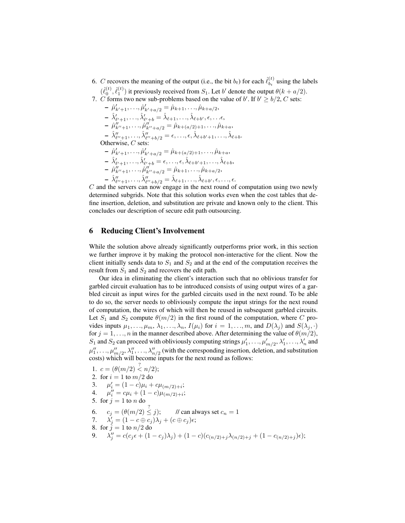- 6. C recovers the meaning of the output (i.e., the bit  $b_t$ ) for each  $\hat{\ell}_{b_t}^{(t)}$  $b_t^{(t)}$  using the labels  $(\hat{\ell}_0^{(t)}, \hat{\ell}_1^{(t)})$  it previously received from  $S_1$ . Let b' denote the output  $\theta(k + a/2)$ .
- 7. C forms two new sub-problems based on the value of b'. If  $b' \ge b/2$ , C sets:  $-\hat{\mu}'_{k'+1}, \ldots, \hat{\mu}'_{k'+a/2} = \hat{\mu}_{k+1}, \ldots, \hat{\mu}_{k+a/2},$  $-\hat{\lambda}'_{\ell'+1}, \ldots, \hat{\lambda}'_{\ell'+b} = \hat{\lambda}_{\ell+1}, \ldots, \hat{\lambda}_{\ell+b'}, \epsilon, \ldots \epsilon,$  $-\hat{\mu}''_{k''+1}, \ldots, \hat{\mu}''_{k''+a/2} = \hat{\mu}_{k+(a/2)+1}, \ldots, \hat{\mu}_{k+a},$  $-\hat{\lambda}''_{\ell''+1}, \ldots, \hat{\lambda}''_{\ell''+b/2} = \epsilon, \ldots, \epsilon, \hat{\lambda}_{\ell+b'+1}, \ldots, \hat{\lambda}_{\ell+b}.$ Otherwise,  $C$  sets:  $-\hat{\mu}'_{k'+1}, \ldots, \hat{\mu}'_{k'+a/2} = \hat{\mu}_{k+(a/2)+1}, \ldots, \hat{\mu}_{k+a},$ 
	- $-\hat{\lambda}'_{\ell'+1}, \ldots, \hat{\lambda}'_{\ell'+b} = \epsilon, \ldots, \epsilon, \hat{\lambda}_{\ell+b'+1}, \ldots, \hat{\lambda}_{\ell+b},$
	- $-\hat{\mu}''_{k''+1}, \ldots, \hat{\mu}''_{k''+a/2} = \hat{\mu}_{k+1}, \ldots, \hat{\mu}_{k+a/2},$
	- $-\hat{\lambda}''_{\ell''+1}, \ldots, \hat{\lambda}''_{\ell''+b/2} = \hat{\lambda}_{\ell+1}, \ldots, \hat{\lambda}_{\ell+b'}, \epsilon, \ldots, \epsilon.$

 $C$  and the servers can now engage in the next round of computation using two newly determined subgrids. Note that this solution works even when the cost tables that define insertion, deletion, and substitution are private and known only to the client. This concludes our description of secure edit path outsourcing.

# 6 Reducing Client's Involvement

While the solution above already significantly outperforms prior work, in this section we further improve it by making the protocol non-interactive for the client. Now the client initially sends data to  $S_1$  and  $S_2$  and at the end of the computation receives the result from  $S_1$  and  $S_2$  and recovers the edit path.

Our idea in eliminating the client's interaction such that no oblivious transfer for garbled circuit evaluation has to be introduced consists of using output wires of a garbled circuit as input wires for the garbled circuits used in the next round. To be able to do so, the server needs to obliviously compute the input strings for the next round of computation, the wires of which will then be reused in subsequent garbled circuits. Let  $S_1$  and  $S_2$  compute  $\theta(m/2)$  in the first round of the computation, where C provides inputs  $\mu_1, \ldots, \mu_m, \lambda_1, \ldots, \lambda_n$ ,  $I(\mu_i)$  for  $i = 1, \ldots, m$ , and  $D(\lambda_j)$  and  $S(\lambda_j, \cdot)$ for  $j = 1, ..., n$  in the manner described above. After determining the value of  $\theta(m/2)$ ,  $S_1$  and  $S_2$  can proceed with obliviously computing strings  $\mu'_1, \ldots, \mu'_{m/2}, \lambda'_1, \ldots, \lambda'_n$  and  $\mu''_1,\ldots,\mu''_{m/2},\lambda''_1,\ldots,\lambda''_{n/2}$  (with the corresponding insertion, deletion, and substitution costs) which will become inputs for the next round as follows:

1.  $c = (\theta(m/2) \stackrel{?}{\lt} n/2);$ 2. for  $i = 1$  to  $m/2$  do 3.  $\mu'_i = (1-c)\mu_i + c\mu_{(m/2)+i};$ 4.  $\mu''_i = c\mu_i + (1-c)\mu_{(m/2)+i};$ 5. for  $j = 1$  to n do 6.  $c_j = (\theta(m/2) \leq j);$  // can always set  $c_n = 1$ 7.  $\lambda'_j = (1 - c \oplus c_j)\lambda_j + (c \oplus c_j)\epsilon;$ 8. for  $j = 1$  to  $n/2$  do 9.  $\lambda''_j = c(c_j \epsilon + (1-c_j)\lambda_j) + (1-c)(c_{(n/2)+j}\lambda_{(n/2)+j} + (1-c_{(n/2)+j})\epsilon);$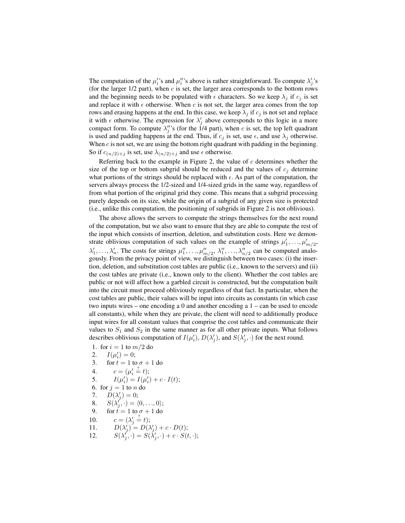The computation of the  $\mu_i$ 's and  $\mu_i''$ 's above is rather straightforward. To compute  $\lambda_j'$ 's (for the larger  $1/2$  part), when c is set, the larger area corresponds to the bottom rows and the beginning needs to be populated with  $\epsilon$  characters. So we keep  $\lambda_i$  if  $c_i$  is set and replace it with  $\epsilon$  otherwise. When c is not set, the larger area comes from the top rows and erasing happens at the end. In this case, we keep  $\lambda_i$  if  $c_i$  is not set and replace it with  $\epsilon$  otherwise. The expression for  $\lambda'_j$  above corresponds to this logic in a more compact form. To compute  $\lambda_j''$ 's (for the 1/4 part), when c is set, the top left quadrant is used and padding happens at the end. Thus, if  $c_i$  is set, use  $\epsilon$ , and use  $\lambda_i$  otherwise. When  $c$  is not set, we are using the bottom right quadrant with padding in the beginning. So if  $c_{(n/2)+j}$  is set, use  $\lambda_{(n/2)+j}$  and use  $\epsilon$  otherwise.

Referring back to the example in Figure 2, the value of  $c$  determines whether the size of the top or bottom subgrid should be reduced and the values of  $c_j$  determine what portions of the strings should be replaced with  $\epsilon$ . As part of the computation, the servers always process the 1/2-sized and 1/4-sized grids in the same way, regardless of from what portion of the original grid they come. This means that a subgrid processing purely depends on its size, while the origin of a subgrid of any given size is protected (i.e., unlike this computation, the positioning of subgrids in Figure 2 is not oblivious).

The above allows the servers to compute the strings themselves for the next round of the computation, but we also want to ensure that they are able to compute the rest of the input which consists of insertion, deletion, and substitution costs. Here we demonstrate oblivious computation of such values on the example of strings  $\mu'_1, \ldots, \mu'_{m/2}$ ,  $\lambda'_1, \ldots, \lambda'_n$ . The costs for strings  $\mu''_1, \ldots, \mu''_{m/2}, \lambda''_1, \ldots, \lambda''_{n/2}$  can be computed analogously. From the privacy point of view, we distinguish between two cases: (i) the insertion, deletion, and substitution cost tables are public (i.e., known to the servers) and (ii) the cost tables are private (i.e., known only to the client). Whether the cost tables are public or not will affect how a garbled circuit is constructed, but the computation built into the circuit must proceed obliviously regardless of that fact. In particular, when the cost tables are public, their values will be input into circuits as constants (in which case two inputs wires – one encoding a 0 and another encoding a 1 – can be used to encode all constants), while when they are private, the client will need to additionally produce input wires for all constant values that comprise the cost tables and communicate their values to  $S_1$  and  $S_2$  in the same manner as for all other private inputs. What follows describes oblivious computation of  $I(\mu'_i)$ ,  $D(\lambda'_j)$ , and  $S(\lambda'_j, \cdot)$  for the next round.

- 1. for  $i = 1$  to  $m/2$  do
- 2.  $I(\mu'_i) = 0;$
- 3. for  $t = 1$  to  $\sigma + 1$  do
- 4.  $c = (\mu'_i \stackrel{?}{=} t);$
- 5.  $I(\mu'_i) = I(\mu'_i) + c \cdot I(t);$
- 6. for  $j = 1$  to *n* do
- 7.  $D(\lambda'_j) = 0;$
- 8.  $S(\lambda_j', \cdot) = \langle 0, \ldots, 0 \rangle;$
- 9. for  $t = 1$  to  $\sigma + 1$  do
- 10.  $c = (\lambda'_j \stackrel{?}{=} t);$
- 11.  $D(\lambda'_j) = D(\lambda'_j) + c \cdot D(t);$
- 12.  $S(\lambda'_j, \cdot) = S(\lambda'_j, \cdot) + c \cdot S(t, \cdot);$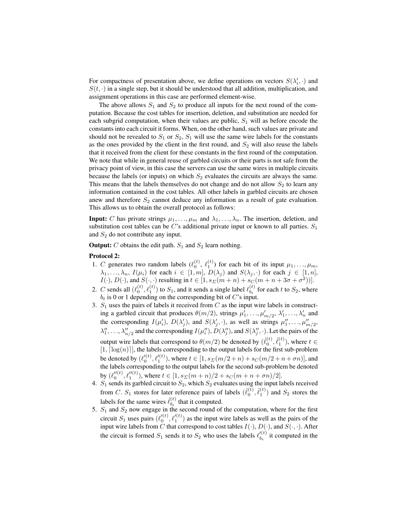For compactness of presentation above, we define operations on vectors  $S(\lambda_i', \cdot)$  and  $S(t, \cdot)$  in a single step, but it should be understood that all addition, multiplication, and assignment operations in this case are performed element-wise.

The above allows  $S_1$  and  $S_2$  to produce all inputs for the next round of the computation. Because the cost tables for insertion, deletion, and substitution are needed for each subgrid computation, when their values are public,  $S_1$  will as before encode the constants into each circuit it forms. When, on the other hand, such values are private and should not be revealed to  $S_1$  or  $S_2$ ,  $S_1$  will use the same wire labels for the constants as the ones provided by the client in the first round, and  $S_2$  will also reuse the labels that it received from the client for these constants in the first round of the computation. We note that while in general reuse of garbled circuits or their parts is not safe from the privacy point of view, in this case the servers can use the same wires in multiple circuits because the labels (or inputs) on which  $S_2$  evaluates the circuits are always the same. This means that the labels themselves do not change and do not allow  $S_2$  to learn any information contained in the cost tables. All other labels in garbled circuits are chosen anew and therefore  $S_2$  cannot deduce any information as a result of gate evaluation. This allows us to obtain the overall protocol as follows:

**Input:** C has private strings  $\mu_1, \ldots, \mu_m$  and  $\lambda_1, \ldots, \lambda_n$ . The insertion, deletion, and substitution cost tables can be  $C$ 's additional private input or known to all parties.  $S_1$ and  $S_2$  do not contribute any input.

**Output:** C obtains the edit path.  $S_1$  and  $S_2$  learn nothing.

## Protocol 2:

- 1. C generates two random labels  $(\ell_0^{(t)}, \ell_1^{(t)})$  for each bit of its input  $\mu_1, \ldots, \mu_m$ ,  $\lambda_1, \ldots, \lambda_n$ ,  $I(\mu_i)$  for each  $i \in [1, m]$ ,  $D(\lambda_j)$  and  $S(\lambda_j, \cdot)$  for each  $j \in [1, n]$ ,  $I(\cdot), D(\cdot)$ , and  $S(\cdot, \cdot)$  resulting in  $t \in [1, s_{\Sigma}(m+n) + s_{\Sigma}(m+n+3\sigma+\sigma^2))]$ .
- 2. C sends all  $(\ell_0^{(t)}, \ell_1^{(t)})$  to  $S_1$ , and it sends a single label  $\ell_{b_t}^{(t)}$  $b_t^{(t)}$  for each t to  $S_2$ , where  $b_t$  is 0 or 1 depending on the corresponding bit of  $C$ 's input.
- 3.  $S_1$  uses the pairs of labels it received from  $C$  as the input wire labels in constructing a garbled circuit that produces  $\theta(m/2)$ , strings  $\mu'_1, \ldots, \mu'_{m/2}, \lambda'_1, \ldots, \lambda'_n$  and the corresponding  $I(\mu'_i)$ ,  $D(\lambda'_j)$ , and  $S(\lambda'_j, \cdot)$ , as well as strings  $\mu''_1, \ldots, \mu''_{m/2}$ ,  $\lambda''_1, \ldots, \lambda''_{n/2}$  and the corresponding  $I(\mu''_i), D(\lambda''_j)$ , and  $S(\lambda''_j, \cdot)$ . Let the pairs of the output wire labels that correspond to  $\theta(m/2)$  be denoted by  $(\hat{\ell}_0^{(t)}, \hat{\ell}_1^{(t)})$ , where  $t \in$  $[1, \lceil \log(n) \rceil]$ , the labels corresponding to the output labels for the first sub-problem be denoted by  $(\ell_0'^{(t)}, \ell_1'^{(t)})$ , where  $t \in [1, s_{\Sigma}(m/2 + n) + s_{C}(m/2 + n + \sigma n)]$ , and the labels corresponding to the output labels for the second sub-problem be denoted by  $(\ell_0''^{(t)}, \ell_1''^{(t)})$ , where  $t \in [1, s_E(m+n)/2 + s_C(m+n+\sigma n)/2]$ .
- 4.  $S_1$  sends its garbled circuit to  $S_2$ , which  $S_2$  evaluates using the input labels received from C.  $S_1$  stores for later reference pairs of labels  $(\hat{\ell}_0^{(t)}, \hat{\ell}_1^{(t)})$  and  $S_2$  stores the labels for the same wires  $\hat{\ell}_{h}^{(t)}$  $b_t^{(t)}$  that it computed.
- 5.  $S_1$  and  $S_2$  now engage in the second round of the computation, where for the first circuit  $S_1$  uses pairs  $(\ell_0'^{(t)}, \ell_1'^{(t)})$  as the input wire labels as well as the pairs of the input wire labels from C that correspond to cost tables  $I(\cdot)$ ,  $D(\cdot)$ , and  $S(\cdot, \cdot)$ . After the circuit is formed  $S_1$  sends it to  $S_2$  who uses the labels  $\ell_{b}^{(t)}$  $b_t^{(t)}$  it computed in the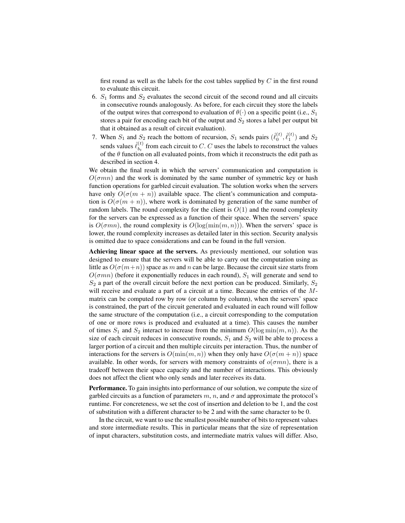first round as well as the labels for the cost tables supplied by  $C$  in the first round to evaluate this circuit.

- 6.  $S_1$  forms and  $S_2$  evaluates the second circuit of the second round and all circuits in consecutive rounds analogously. As before, for each circuit they store the labels of the output wires that correspond to evaluation of  $\theta(\cdot)$  on a specific point (i.e.,  $S_1$ ) stores a pair for encoding each bit of the output and  $S_2$  stores a label per output bit that it obtained as a result of circuit evaluation).
- 7. When  $S_1$  and  $S_2$  reach the bottom of recursion,  $S_1$  sends pairs  $(\hat{\ell}_0^{(t)}, \hat{\ell}_1^{(t)})$  and  $S_2$ sends values  $\hat{\ell}_{h}^{(t)}$  $\mathbf{b}_{t}^{(t)}$  from each circuit to C. C uses the labels to reconstruct the values of the  $\theta$  function on all evaluated points, from which it reconstructs the edit path as described in section 4.

We obtain the final result in which the servers' communication and computation is  $O(\sigma mn)$  and the work is dominated by the same number of symmetric key or hash function operations for garbled circuit evaluation. The solution works when the servers have only  $O(\sigma(m + n))$  available space. The client's communication and computation is  $O(\sigma(m + n))$ , where work is dominated by generation of the same number of random labels. The round complexity for the client is  $O(1)$  and the round complexity for the servers can be expressed as a function of their space. When the servers' space is  $O(\sigma mn)$ , the round complexity is  $O(log(min(m, n)))$ . When the servers' space is lower, the round complexity increases as detailed later in this section. Security analysis is omitted due to space considerations and can be found in the full version.

Achieving linear space at the servers. As previously mentioned, our solution was designed to ensure that the servers will be able to carry out the computation using as little as  $O(\sigma(m+n))$  space as m and n can be large. Because the circuit size starts from  $O(\sigma mn)$  (before it exponentially reduces in each round),  $S_1$  will generate and send to  $S_2$  a part of the overall circuit before the next portion can be produced. Similarly,  $S_2$ will receive and evaluate a part of a circuit at a time. Because the entries of the Mmatrix can be computed row by row (or column by column), when the servers' space is constrained, the part of the circuit generated and evaluated in each round will follow the same structure of the computation (i.e., a circuit corresponding to the computation of one or more rows is produced and evaluated at a time). This causes the number of times  $S_1$  and  $S_2$  interact to increase from the minimum  $O(\log \min(m, n))$ . As the size of each circuit reduces in consecutive rounds,  $S_1$  and  $S_2$  will be able to process a larger portion of a circuit and then multiple circuits per interaction. Thus, the number of interactions for the servers is  $O(\min(m, n))$  when they only have  $O(\sigma(m + n))$  space available. In other words, for servers with memory constraints of  $o(\sigma mn)$ , there is a tradeoff between their space capacity and the number of interactions. This obviously does not affect the client who only sends and later receives its data.

Performance. To gain insights into performance of our solution, we compute the size of garbled circuits as a function of parameters  $m$ ,  $n$ , and  $\sigma$  and approximate the protocol's runtime. For concreteness, we set the cost of insertion and deletion to be 1, and the cost of substitution with a different character to be 2 and with the same character to be 0.

In the circuit, we want to use the smallest possible number of bits to represent values and store intermediate results. This in particular means that the size of representation of input characters, substitution costs, and intermediate matrix values will differ. Also,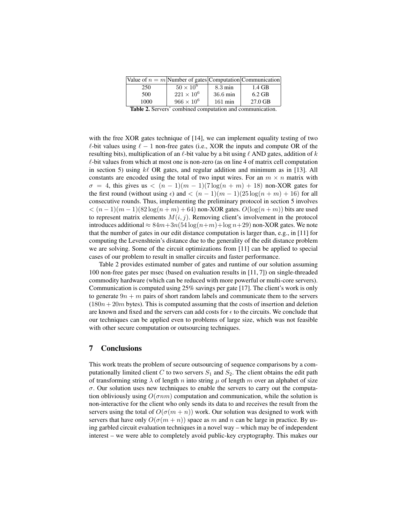|      | Value of $n = m$ Number of gates Computation Communication |                    |          |
|------|------------------------------------------------------------|--------------------|----------|
| 250  | $50 \times 10^6$                                           | $8.3 \text{ min}$  | 1.4 GB   |
| 500  | $221 \times 10^{6}$                                        | $36.6 \text{ min}$ | $6.2$ GB |
| 1000 | $966 \times 10^{6}$                                        | $161 \text{ min}$  | 27.0 GB  |
|      |                                                            | .                  |          |

Table 2. Servers' combined computation and communication.

with the free XOR gates technique of [14], we can implement equality testing of two  $\ell$ -bit values using  $\ell - 1$  non-free gates (i.e., XOR the inputs and compute OR of the resulting bits), multiplication of an  $\ell$ -bit value by a bit using  $\ell$  AND gates, addition of k  $\ell$ -bit values from which at most one is non-zero (as on line 4 of matrix cell computation in section 5) using  $k\ell$  OR gates, and regular addition and minimum as in [13]. All constants are encoded using the total of two input wires. For an  $m \times n$  matrix with  $\sigma = 4$ , this gives us  $\langle (n-1)(m-1)(7 \log(n+m) + 18) \rangle$  non-XOR gates for the first round (without using  $\epsilon$ ) and  $\langle (n-1)(m-1)(25\log(n+m)+16)$  for all consecutive rounds. Thus, implementing the preliminary protocol in section 5 involves  $< (n-1)(m-1)(82 \log(n+m) + 64)$  non-XOR gates.  $O(\log(n+m))$  bits are used to represent matrix elements  $M(i, j)$ . Removing client's involvement in the protocol introduces additional  $\approx 84m+3n(54\log(n+m)+\log n+29)$  non-XOR gates. We note that the number of gates in our edit distance computation is larger than, e.g., in [11] for computing the Levenshtein's distance due to the generality of the edit distance problem we are solving. Some of the circuit optimizations from [11] can be applied to special cases of our problem to result in smaller circuits and faster performance.

Table 2 provides estimated number of gates and runtime of our solution assuming 100 non-free gates per msec (based on evaluation results in [11, 7]) on single-threaded commodity hardware (which can be reduced with more powerful or multi-core servers). Communication is computed using 25% savings per gate [17]. The client's work is only to generate  $9n + m$  pairs of short random labels and communicate them to the servers  $(180n+20m)$  bytes). This is computed assuming that the costs of insertion and deletion are known and fixed and the servers can add costs for  $\epsilon$  to the circuits. We conclude that our techniques can be applied even to problems of large size, which was not feasible with other secure computation or outsourcing techniques.

## 7 Conclusions

This work treats the problem of secure outsourcing of sequence comparisons by a computationally limited client C to two servers  $S_1$  and  $S_2$ . The client obtains the edit path of transforming string  $\lambda$  of length n into string  $\mu$  of length m over an alphabet of size  $\sigma$ . Our solution uses new techniques to enable the servers to carry out the computation obliviously using  $O(\sigma n m)$  computation and communication, while the solution is non-interactive for the client who only sends its data to and receives the result from the servers using the total of  $O(\sigma(m + n))$  work. Our solution was designed to work with servers that have only  $O(\sigma(m+n))$  space as m and n can be large in practice. By using garbled circuit evaluation techniques in a novel way – which may be of independent interest – we were able to completely avoid public-key cryptography. This makes our